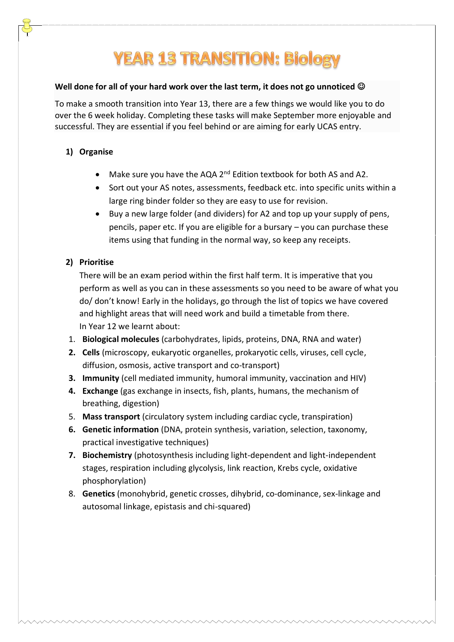# **YEAR 13 TRANSITION: Biology**

#### **Well done for all of your hard work over the last term, it does not go unnoticed**

To make a smooth transition into Year 13, there are a few things we would like you to do over the 6 week holiday. Completing these tasks will make September more enjoyable and successful. They are essential if you feel behind or are aiming for early UCAS entry.

## **1) Organise**

- Make sure you have the AQA  $2^{nd}$  Edition textbook for both AS and A2.
- Sort out your AS notes, assessments, feedback etc. into specific units within a large ring binder folder so they are easy to use for revision.
- Buy a new large folder (and dividers) for A2 and top up your supply of pens, pencils, paper etc. If you are eligible for a bursary – you can purchase these items using that funding in the normal way, so keep any receipts.

### **2) Prioritise**

There will be an exam period within the first half term. It is imperative that you perform as well as you can in these assessments so you need to be aware of what you do/ don't know! Early in the holidays, go through the list of topics we have covered and highlight areas that will need work and build a timetable from there. In Year 12 we learnt about:

- 1. **Biological molecules** (carbohydrates, lipids, proteins, DNA, RNA and water)
- **2. Cells** (microscopy, eukaryotic organelles, prokaryotic cells, viruses, cell cycle, diffusion, osmosis, active transport and co-transport)
- **3. Immunity** (cell mediated immunity, humoral immunity, vaccination and HIV)
- **4. Exchange** (gas exchange in insects, fish, plants, humans, the mechanism of breathing, digestion)
- 5. **Mass transport** (circulatory system including cardiac cycle, transpiration)
- **6. Genetic information** (DNA, protein synthesis, variation, selection, taxonomy, practical investigative techniques)
- **7. Biochemistry** (photosynthesis including light-dependent and light-independent stages, respiration including glycolysis, link reaction, Krebs cycle, oxidative phosphorylation)
- 8. **Genetics** (monohybrid, genetic crosses, dihybrid, co-dominance, sex-linkage and autosomal linkage, epistasis and chi-squared)